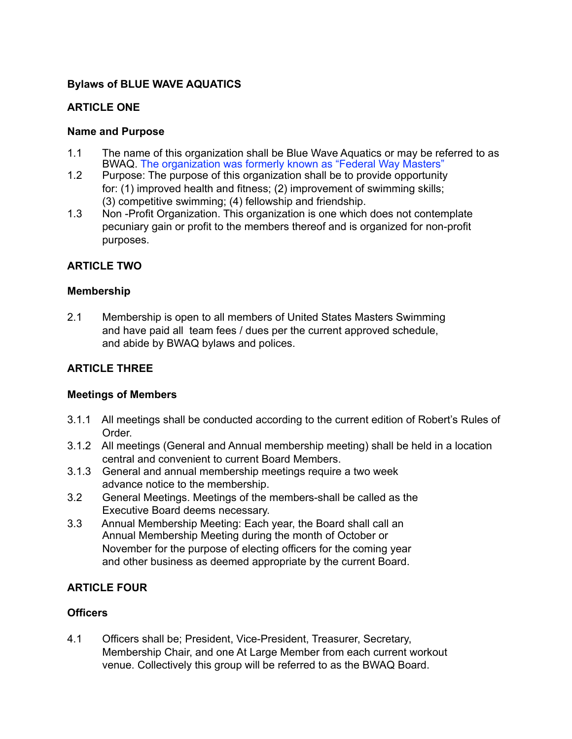## **Bylaws of BLUE WAVE AQUATICS**

## **ARTICLE ONE**

### **Name and Purpose**

- 1.1 The name of this organization shall be Blue Wave Aquatics or may be referred to as BWAQ. The organization was formerly known as "Federal Way Masters"
- 1.2 Purpose: The purpose of this organization shall be to provide opportunity for: (1) improved health and fitness; (2) improvement of swimming skills; (3) competitive swimming; (4) fellowship and friendship.
- 1.3 Non -Profit Organization. This organization is one which does not contemplate pecuniary gain or profit to the members thereof and is organized for non-profit purposes.

## **ARTICLE TWO**

### **Membership**

2.1 Membership is open to all members of United States Masters Swimming and have paid all team fees / dues per the current approved schedule, and abide by BWAQ bylaws and polices.

## **ARTICLE THREE**

#### **Meetings of Members**

- 3.1.1 All meetings shall be conducted according to the current edition of Robert's Rules of Order.
- 3.1.2 All meetings (General and Annual membership meeting) shall be held in a location central and convenient to current Board Members.
- 3.1.3 General and annual membership meetings require a two week advance notice to the membership.
- 3.2 General Meetings. Meetings of the members-shall be called as the Executive Board deems necessary.
- 3.3 Annual Membership Meeting: Each year, the Board shall call an Annual Membership Meeting during the month of October or November for the purpose of electing officers for the coming year and other business as deemed appropriate by the current Board.

## **ARTICLE FOUR**

## **Officers**

4.1 Officers shall be; President, Vice-President, Treasurer, Secretary, Membership Chair, and one At Large Member from each current workout venue. Collectively this group will be referred to as the BWAQ Board.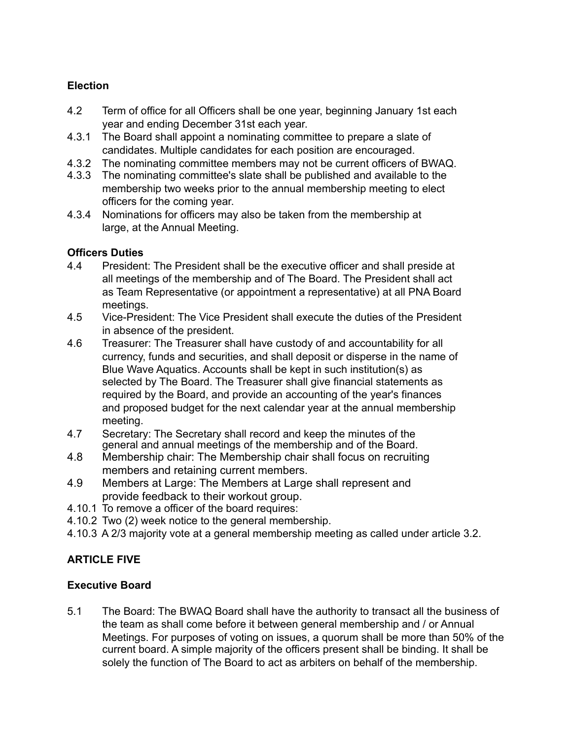# **Election**

- 4.2 Term of office for all Officers shall be one year, beginning January 1st each year and ending December 31st each year.
- 4.3.1 The Board shall appoint a nominating committee to prepare a slate of candidates. Multiple candidates for each position are encouraged.
- 4.3.2 The nominating committee members may not be current officers of BWAQ.
- 4.3.3 The nominating committee's slate shall be published and available to the membership two weeks prior to the annual membership meeting to elect officers for the coming year.
- 4.3.4 Nominations for officers may also be taken from the membership at large, at the Annual Meeting.

## **Officers Duties**

- 4.4 President: The President shall be the executive officer and shall preside at all meetings of the membership and of The Board. The President shall act as Team Representative (or appointment a representative) at all PNA Board meetings.
- 4.5 Vice-President: The Vice President shall execute the duties of the President in absence of the president.
- 4.6 Treasurer: The Treasurer shall have custody of and accountability for all currency, funds and securities, and shall deposit or disperse in the name of Blue Wave Aquatics. Accounts shall be kept in such institution(s) as selected by The Board. The Treasurer shall give financial statements as required by the Board, and provide an accounting of the year's finances and proposed budget for the next calendar year at the annual membership meeting.
- 4.7 Secretary: The Secretary shall record and keep the minutes of the general and annual meetings of the membership and of the Board.
- 4.8 Membership chair: The Membership chair shall focus on recruiting members and retaining current members.
- 4.9 Members at Large: The Members at Large shall represent and provide feedback to their workout group.
- 4.10.1 To remove a officer of the board requires:
- 4.10.2 Two (2) week notice to the general membership.
- 4.10.3 A 2/3 majority vote at a general membership meeting as called under article 3.2.

# **ARTICLE FIVE**

# **Executive Board**

5.1 The Board: The BWAQ Board shall have the authority to transact all the business of the team as shall come before it between general membership and / or Annual Meetings. For purposes of voting on issues, a quorum shall be more than 50% of the current board. A simple majority of the officers present shall be binding. It shall be solely the function of The Board to act as arbiters on behalf of the membership.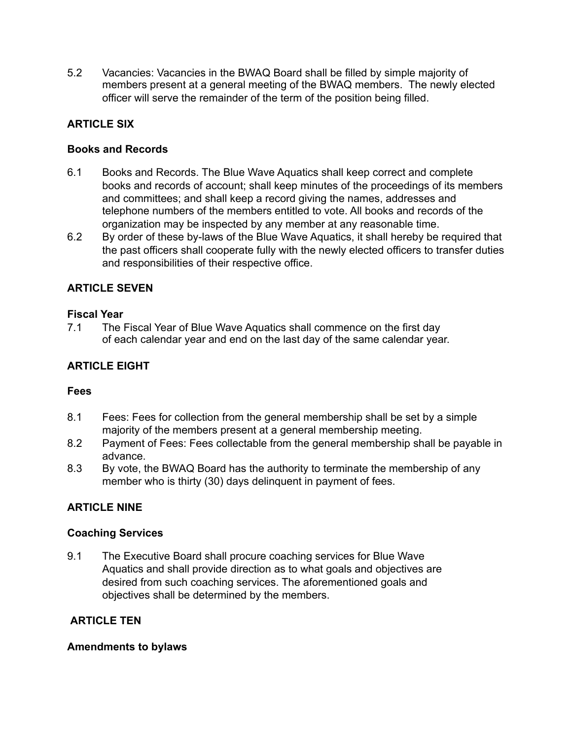5.2 Vacancies: Vacancies in the BWAQ Board shall be filled by simple majority of members present at a general meeting of the BWAQ members. The newly elected officer will serve the remainder of the term of the position being filled.

# **ARTICLE SIX**

### **Books and Records**

- 6.1 Books and Records. The Blue Wave Aquatics shall keep correct and complete books and records of account; shall keep minutes of the proceedings of its members and committees; and shall keep a record giving the names, addresses and telephone numbers of the members entitled to vote. All books and records of the organization may be inspected by any member at any reasonable time.
- 6.2 By order of these by-laws of the Blue Wave Aquatics, it shall hereby be required that the past officers shall cooperate fully with the newly elected officers to transfer duties and responsibilities of their respective office.

## **ARTICLE SEVEN**

### **Fiscal Year**

7.1 The Fiscal Year of Blue Wave Aquatics shall commence on the first day of each calendar year and end on the last day of the same calendar year.

## **ARTICLE EIGHT**

## **Fees**

- 8.1 Fees: Fees for collection from the general membership shall be set by a simple majority of the members present at a general membership meeting.
- 8.2 Payment of Fees: Fees collectable from the general membership shall be payable in advance.
- 8.3 By vote, the BWAQ Board has the authority to terminate the membership of any member who is thirty (30) days delinquent in payment of fees.

## **ARTICLE NINE**

#### **Coaching Services**

9.1 The Executive Board shall procure coaching services for Blue Wave Aquatics and shall provide direction as to what goals and objectives are desired from such coaching services. The aforementioned goals and objectives shall be determined by the members.

## **ARTICLE TEN**

#### **Amendments to bylaws**